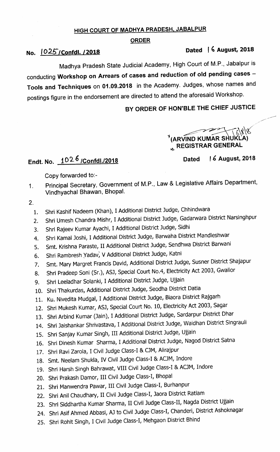### HIGH COURT OF MADHYA PRADESH, JABALPUR

#### ORDER

## No.  $1025$ /Confdl.  $/2018$  Dated 16 August, 2018

# Madhya Pradesh State Judicial Academy, High Court of M.P., Jabalpur is conducting Workshop on Arrears of cases and reduction of old pending cases -Tools and Techniques on 01.09.2018 in the Academy. Judges, whose names and postings figure in the endorsement are directed to attend the aforesaid Workshop.

## BY ORDER OF HON'BLE THE CHIEF JUSTICE

(ARVIND KUMAR S  $_{\star_{\!\star}}$  REGISTRAR GENERAL UKLA)

## Endt. No.  $10^{2.6}$  /Confdl./2018

Dated 16 August, 2018

Copy forvarded to:-

Principal Secretary, Government of M.P., Law & Legislative Affairs Department,  $1.$ Vindhyachal Bhawan, Bhopal.

2.

- 1. Shri Kashif Nadeem (Khan), I Additional District Judge, Chhindwara
- 2. Shri Umesh Chandra Mishr, I Additional District Judge, Gadarwara District Narsinghpur
- 3. Shri Rajeev Kumar Ayachi, I Additional District Judge, Sidhi
- 4. Shri Kamal Joshi, I Additional District Judge, Barvaha District Mandleshwar
- 5. Smt. Krishna paraste, II Additional District Judge, Sendhwa District Barwani
- 6. Shri Rambresh Yadav; V Additional District Judge, Katni
- 7. Smt. Mary Margret Francis David, Additional District Judge, Susner District shajapur
- 8. Shri pradeep soni (Sr,), ASJ, Special court No.4, Electricity Act 2003, Gwalior
- 9. Shri Leeladhar solanki, I Additional District Judge, Ujjain
- 10. Shri Thakurdas, Additional District Judge, Seodha District Datia
- 11. Ku. Nivedita Mudgal, I Additional District Judge, Biaora District Rajgarh
- 12. Shri Mukesh Kumar, ASJ, Special Court No. 10, Electricity Act 2003, Sagar
- 13. Shri Arbind Kumar (Jain), I Additional District Judge, Sardarpur District Dhar
- 14. Shri Jaishankar Shrivastava, I Additional District Judge, Waidhan District Singrauli
- 15. Shri Sanjay Kumar Singh, III Additional District Judge, Ujjain
- 16. Shri Dinesh Kumar Sharma, I Additional District Judge, Nagod District Satna
- 17. Shri Ravi Zarola, I Civil Judge Class-I & CJM, Alirajpur
- 18. Smt. Neelam Shukla, IV Civil Judge Class-I & ACJM, Indore
- 19. Shri Harsh Singh Bahrawat, VIII Civil Judge class-I & ACJM, Indore
- 20. Shri Prakash Damor, Ill Civil Judge Class-I, Bhopal
- 21. Shri Manwendra Pawar, III Civil Judge Class-I, Burhanpur
- 22. Shri Anil Chaudhary, 11 Civil Judge Class-I, Jaora District Ratlam
- 23. Shri Siddhartha Kumar Sharma, 11 Civil Judge Class-II, Nagda District Ujjain
- 24. Shri Asif Ahmed Abbasi, AJ to Civil Judge Class-I, Chanderi, District Ashoknagar
- 25. Shri Rohit Singh, I Civil Judge Class-I, Mehgaon District Bhind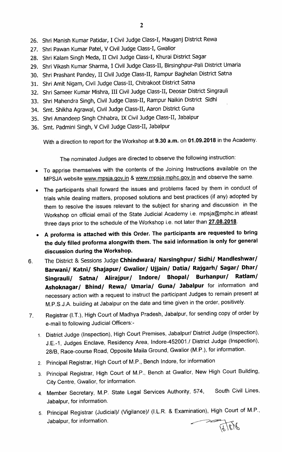- 26. Shri Manish Kumar Patidar, I Civil Judge Class-I, Mauganj District Rewa
- 27. Shri Pawan Kumar Patel, V Civil Judge Class-I, Gwalior
- 28. Shri Kalam Singh Meda, 11 Civil Judge Class-I, Khurai District Sagar
- 29. Shri Vikash Kumar Sharma, I Civil Judge Class-II, Birsinghpur-Pali District Umaria
- 30. Shri Prashant Pandey, 11 Civil Judge Class-II, Rampur Baghelan District Satna
- 31. Shri Amit Nigam, Civil Judge Class-II, Chitrakoot District Satna
- 32. Shri Sameer Kumar Mishra, III Civil Judge Class-II, Deosar District Singrauli
- 33. Shri Mahendra Singh, Civil Judge Class-II, Rampur Naikin District Sidhi
- 34. Smt. Shikha Agrawal, Civil Judge Class-II, Aaron District Guna
- 35. Shri Amandeep Singh Chhabra, IX Civil Judge Class-II, Jabalpur
- 36. Smt. Padmini Singh, V Civil Judge Class-II, Jabalpur

With a direction to report for the Workshop at 9.30 a.m. on 01.09.2018 in the Academy.

The nominated Judges are directed to observe the following instruction:

- To apprise themselves with the contents of the Joining Instructions available on the MPSJA website www.mpsja.gov.in & www.mpsja.mphc.gov.in and observe the same.
- The participants shall forward the issues and problems faced by them in conduct of trials while dealing matters, proposed solutions and best practices (if any) adopted by them to resolve the issues relevant to the subject for sharing and discussion in the Workshop on official email of the State Judicial Academy i.e. mpsja@mphc.in atleast three days prior to the schedule of the Workshop i.e. not later than 27.08.2018.
- A proforma is attached with this Order. The participants are requested to bring the duly filled proforma alongwith them. The said information is only for general discussion during the Workshop.
- 6. The District & Sessions Judge chhindwara/ Narsinghpur/ Sidhi/ Mandleshwar/ Barwani/ Katni/ Shajapur/ Gwalior/ Ujjain/ Datia/ Rajgarh/ Sagar/ Dhar/ Singrauli/ Satna/ Alirajpur/ Indore/ Bhopal/ Burhanpur/ Ratlam/ Ashoknagar/ Bhind/ Rewa/ Umaria/ Guna/ Jabalpur for information and necessary action with a request to instruct the participant Judges to remain present at M.P.S.J.A. building at Jabalpur on the date and time given in the order, positively.
- 7. Registrar (I.T.), High court of Madhya pradesh, Jabalpur, forsending copy of order by e-mail to following Judicial Officers:-
	- 1. District Judge (Inspection), High Court Premises, Jabalpur/ District Judge (Inspection), J.E.-1, Judges Enclave, Residency Area, Indore-452001./ District Judge (Inspection), 28/B, Race-course Road, Opposite Maila Ground, Gwalior (M.P.), for information.
	- 2. Principal Registrar, High Court of M.P., Bench lndore, for information
	- 3. Principal Registrar, High Court of M.P., Bench at Gwalior, New High Court Building, City Centre, Gwalior, for information.
	- 4. Member Secretary, M.P. State Legal Services Authority, 574, South Civil Lines, Jabalpur, for information.
	- 5. Principal Registrar (Judicial)/ (Vigilance)/ (I.L.R. & Examination), High Court of M.P., Jabalpur, for information.<br>  $\begin{array}{ccc}\n & & \\
	 & & \\
	\hline\n\downarrow & & \\
	\hline\n\end{array}\n\quad \begin{array}{ccc}\n & & \\
	\hline\n\downarrow & & \\
	\hline\n\end{array}\n\quad \begin{array}{ccc}\n & & \\
	\hline\n\downarrow & & \\
	\hline\n\end{array}\n\quad \begin{array}{ccc}\n & & \\
	\hline\n\downarrow & & \\
	\hline\n\end{array}\n\quad \begin{array}{ccc}\n & & \\
	\hline\n\downarrow & & \\
	\hline\n\end{array}\n\quad \begin{array}{ccc}\n & & \\
	\hline\n\downarrow & & \\
	\hline$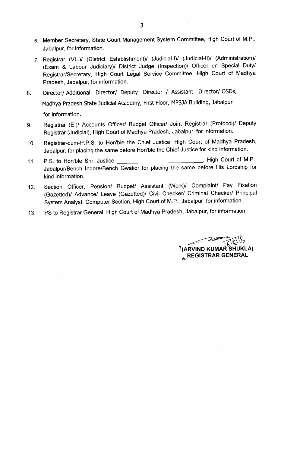- 6. Member Secretary, State Court Management System Committee, High Court of M.P., Jabalpur, for information.
- 7. Registrar (VL.)/ (District Establishment)/ (Judicial-I)/ (Judicial-ll)/ (Administration)/ (Exam & Labour Judiciary)/ District Judge (Inspection)/ Officer on Special Duty/ Registrar/Secretary, High Court Legal Service Committee, High Court of Madhya Pradesh, Jabalpur, for information.
- Director/ Additional Director/ Deputy Director / Assistant Director/ OSDs, 8. Madhya Pradesh State Judicial Academy, First Floor, MPSJA Building, Jabalpur for information.
- Registrar (E.)/ Accounts Officer/ Budget Officer/ Joint Registrar (Protocol)/ Deputy 9. Registrar (Judicial), High Court of Madhya Pradesh, Jabalpur, for information.
- 10. Registrar-cum-P.P.S. to Hon'ble the Chief Justice, High Court of Madhya Pradesh, Jabalpur, for placing the same before Hon'ble the Chief Justice for kind information.
- 11. P.S. to Hon'ble shri Justice High Court of M.P., Jabalpur/Bench lndore/Bench Gwalior for placing the same before His Lordship for kind information.
- 12. Section Officer, Pension/ Budget/ Assistant (Work)/ Complaint/ Pay Fixation (Gazetted)/ Advance/ Leave (Gazetted)/ Civil Checker/ Criminal Checker/ Principal System Analyst, Computer Section, High Court of M.P., Jabalpur for information.
- 13. PS to Registrar General, High Court of Madhya Pradesh, Jabalpur, for information.

' (ARVIND KUMAR SHUKLA) **REGISTRAR GENERAL**